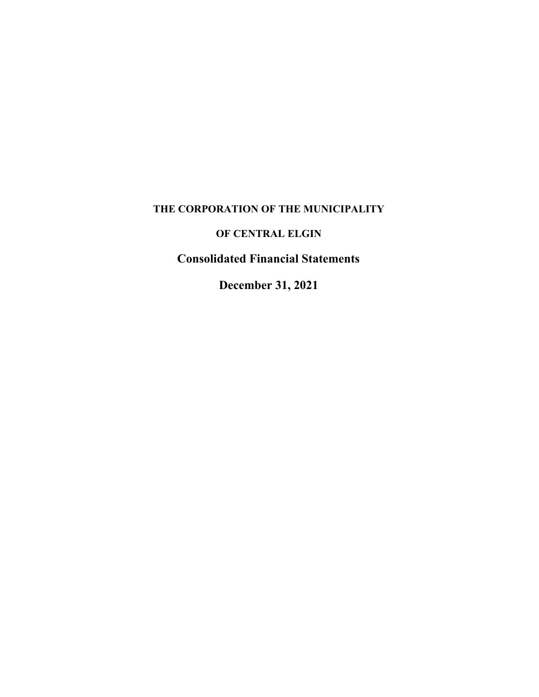### **THE CORPORATION OF THE MUNICIPALITY**

## **OF CENTRAL ELGIN**

## **Consolidated Financial Statements**

**December 31, 2021**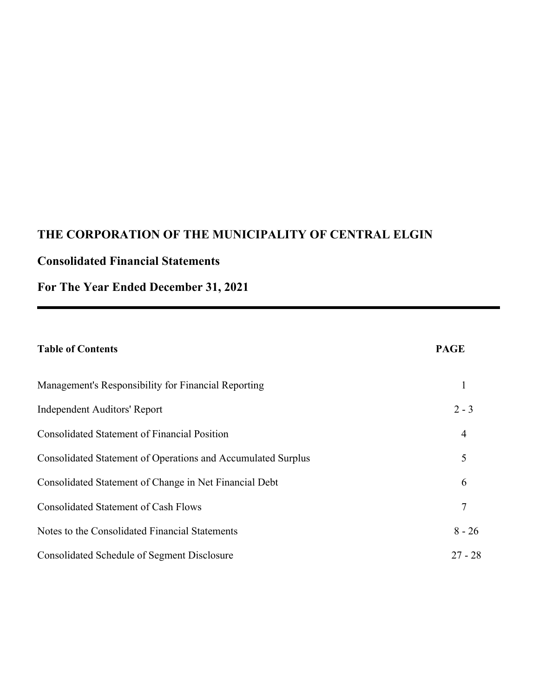# **Consolidated Financial Statements**

**For The Year Ended December 31, 2021**

| <b>Table of Contents</b>                                     | <b>PAGE</b>    |
|--------------------------------------------------------------|----------------|
| Management's Responsibility for Financial Reporting          |                |
| <b>Independent Auditors' Report</b>                          | $2 - 3$        |
| <b>Consolidated Statement of Financial Position</b>          | $\overline{4}$ |
| Consolidated Statement of Operations and Accumulated Surplus | 5              |
| Consolidated Statement of Change in Net Financial Debt       | 6              |
| <b>Consolidated Statement of Cash Flows</b>                  | 7              |
| Notes to the Consolidated Financial Statements               | $8 - 26$       |
| Consolidated Schedule of Segment Disclosure                  | $27 - 28$      |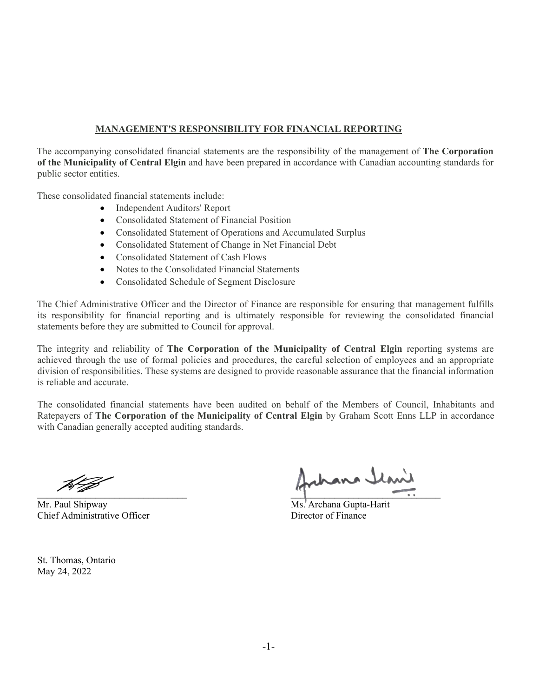#### **MANAGEMENT'S RESPONSIBILITY FOR FINANCIAL REPORTING**

The accompanying consolidated financial statements are the responsibility of the management of **The Corporation of the Municipality of Central Elgin** and have been prepared in accordance with Canadian accounting standards for public sector entities.

These consolidated financial statements include:

- Independent Auditors' Report
- Consolidated Statement of Financial Position
- Consolidated Statement of Operations and Accumulated Surplus
- Consolidated Statement of Change in Net Financial Debt
- Consolidated Statement of Cash Flows
- Notes to the Consolidated Financial Statements
- Consolidated Schedule of Segment Disclosure

The Chief Administrative Officer and the Director of Finance are responsible for ensuring that management fulfills its responsibility for financial reporting and is ultimately responsible for reviewing the consolidated financial statements before they are submitted to Council for approval.

The integrity and reliability of **The Corporation of the Municipality of Central Elgin** reporting systems are achieved through the use of formal policies and procedures, the careful selection of employees and an appropriate division of responsibilities. These systems are designed to provide reasonable assurance that the financial information is reliable and accurate.

The consolidated financial statements have been audited on behalf of the Members of Council, Inhabitants and Ratepayers of **The Corporation of the Municipality of Central Elgin** by Graham Scott Enns LLP in accordance with Canadian generally accepted auditing standards.

Mr. Paul Shipway Ms. Archana Gupta-Harit Chief Administrative Officer **Director of Finance** 

chang Ilon  $\mathcal{L} \mathcal{L} = \mathcal{L} \mathcal{L}$ 

St. Thomas, Ontario May 24, 2022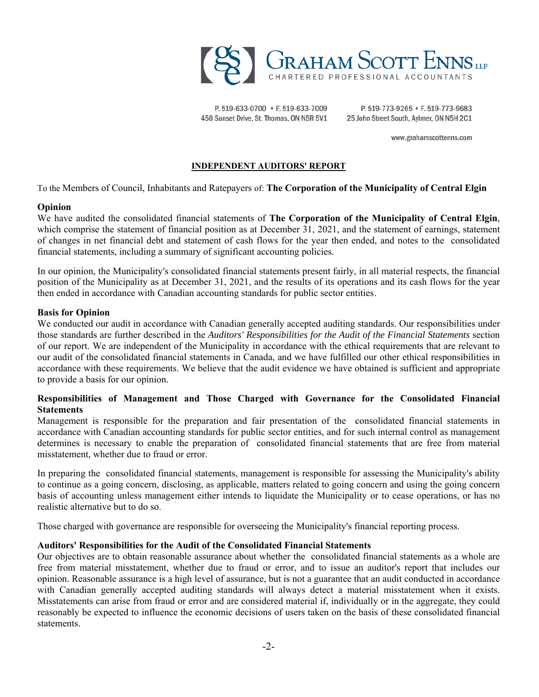

P. 519-633-0700 • F. 519-633-7009 450 Sunset Drive, St. Thomas, ON N5R 5V1

P. 519-773-9265 · F. 519-773-9683 25 John Street South, Aylmer, ON N5H 2C1

www.grahamscottenns.com

#### **INDEPENDENT AUDITORS' REPORT**

To the Members of Council, Inhabitants and Ratepayers of: **The Corporation of the Municipality of Central Elgin**

#### **Opinion**

We have audited the consolidated financial statements of **The Corporation of the Municipality of Central Elgin**, which comprise the statement of financial position as at December 31, 2021, and the statement of earnings, statement of changes in net financial debt and statement of cash flows for the year then ended, and notes to the consolidated financial statements, including a summary of significant accounting policies.

In our opinion, the Municipality's consolidated financial statements present fairly, in all material respects, the financial position of the Municipality as at December 31, 2021, and the results of its operations and its cash flows for the year then ended in accordance with Canadian accounting standards for public sector entities.

#### **Basis for Opinion**

We conducted our audit in accordance with Canadian generally accepted auditing standards. Our responsibilities under those standards are further described in the *Auditors' Responsibilities for the Audit of the Financial Statements* section of our report. We are independent of the Municipality in accordance with the ethical requirements that are relevant to our audit of the consolidated financial statements in Canada, and we have fulfilled our other ethical responsibilities in accordance with these requirements. We believe that the audit evidence we have obtained is sufficient and appropriate to provide a basis for our opinion.

#### **Responsibilities of Management and Those Charged with Governance for the Consolidated Financial Statements**

Management is responsible for the preparation and fair presentation of the consolidated financial statements in accordance with Canadian accounting standards for public sector entities, and for such internal control as management determines is necessary to enable the preparation of consolidated financial statements that are free from material misstatement, whether due to fraud or error.

In preparing the consolidated financial statements, management is responsible for assessing the Municipality's ability to continue as a going concern, disclosing, as applicable, matters related to going concern and using the going concern basis of accounting unless management either intends to liquidate the Municipality or to cease operations, or has no realistic alternative but to do so.

Those charged with governance are responsible for overseeing the Municipality's financial reporting process.

#### **Auditors' Responsibilities for the Audit of the Consolidated Financial Statements**

Our objectives are to obtain reasonable assurance about whether the consolidated financial statements as a whole are free from material misstatement, whether due to fraud or error, and to issue an auditor's report that includes our opinion. Reasonable assurance is a high level of assurance, but is not a guarantee that an audit conducted in accordance with Canadian generally accepted auditing standards will always detect a material misstatement when it exists. Misstatements can arise from fraud or error and are considered material if, individually or in the aggregate, they could reasonably be expected to influence the economic decisions of users taken on the basis of these consolidated financial statements.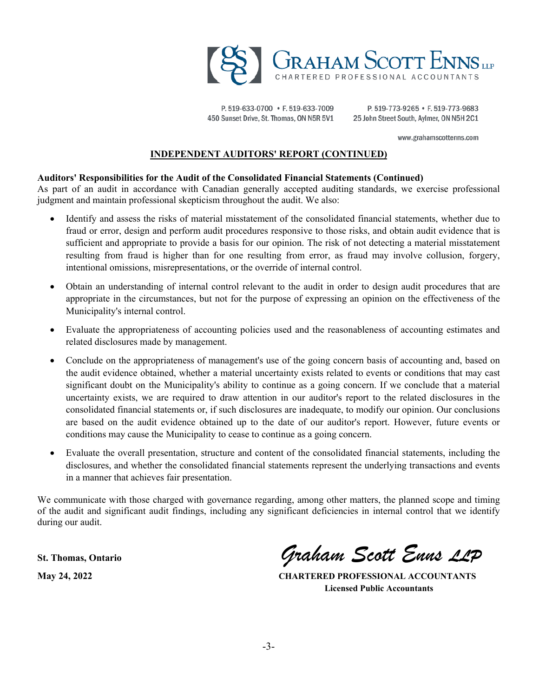

P. 519-633-0700 • F. 519-633-7009 450 Sunset Drive, St. Thomas, ON N5R 5V1

P. 519-773-9265 • F. 519-773-9683 25 John Street South, Aylmer, ON N5H 2C1

www.grahamscottenns.com

#### **INDEPENDENT AUDITORS' REPORT (CONTINUED)**

#### **Auditors' Responsibilities for the Audit of the Consolidated Financial Statements (Continued)**

As part of an audit in accordance with Canadian generally accepted auditing standards, we exercise professional judgment and maintain professional skepticism throughout the audit. We also:

- Identify and assess the risks of material misstatement of the consolidated financial statements, whether due to fraud or error, design and perform audit procedures responsive to those risks, and obtain audit evidence that is sufficient and appropriate to provide a basis for our opinion. The risk of not detecting a material misstatement resulting from fraud is higher than for one resulting from error, as fraud may involve collusion, forgery, intentional omissions, misrepresentations, or the override of internal control.
- Obtain an understanding of internal control relevant to the audit in order to design audit procedures that are appropriate in the circumstances, but not for the purpose of expressing an opinion on the effectiveness of the Municipality's internal control.
- Evaluate the appropriateness of accounting policies used and the reasonableness of accounting estimates and related disclosures made by management.
- Conclude on the appropriateness of management's use of the going concern basis of accounting and, based on the audit evidence obtained, whether a material uncertainty exists related to events or conditions that may cast significant doubt on the Municipality's ability to continue as a going concern. If we conclude that a material uncertainty exists, we are required to draw attention in our auditor's report to the related disclosures in the consolidated financial statements or, if such disclosures are inadequate, to modify our opinion. Our conclusions are based on the audit evidence obtained up to the date of our auditor's report. However, future events or conditions may cause the Municipality to cease to continue as a going concern.
- Evaluate the overall presentation, structure and content of the consolidated financial statements, including the disclosures, and whether the consolidated financial statements represent the underlying transactions and events in a manner that achieves fair presentation.

We communicate with those charged with governance regarding, among other matters, the planned scope and timing of the audit and significant audit findings, including any significant deficiencies in internal control that we identify during our audit.

**St. Thomas, Ontario** *Graham Scott Enns LLP*

**May 24, 2022 CHARTERED PROFESSIONAL ACCOUNTANTS Licensed Public Accountants**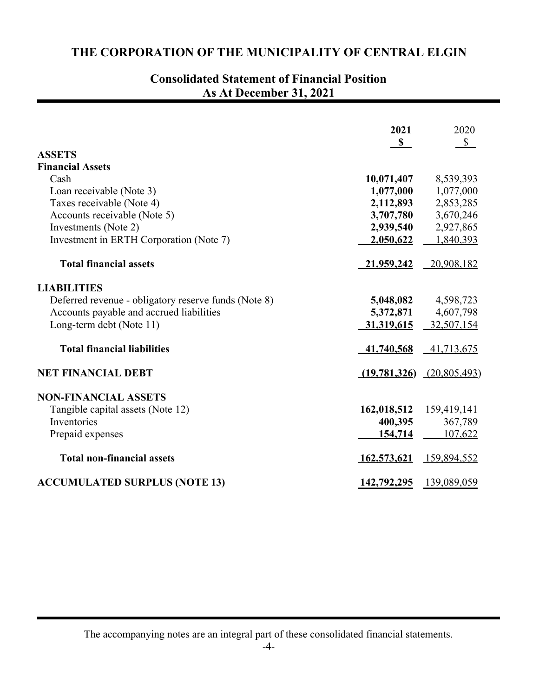|                                                      | 2021         | 2020                          |
|------------------------------------------------------|--------------|-------------------------------|
|                                                      | $\mathbb{S}$ | S                             |
| <b>ASSETS</b>                                        |              |                               |
| <b>Financial Assets</b>                              |              |                               |
| Cash                                                 | 10,071,407   | 8,539,393                     |
| Loan receivable (Note 3)                             | 1,077,000    | 1,077,000                     |
| Taxes receivable (Note 4)                            | 2,112,893    | 2,853,285                     |
| Accounts receivable (Note 5)                         | 3,707,780    | 3,670,246                     |
| Investments (Note 2)                                 | 2,939,540    | 2,927,865                     |
| Investment in ERTH Corporation (Note 7)              | 2,050,622    | 1,840,393                     |
| <b>Total financial assets</b>                        | 21,959,242   | 20,908,182                    |
| <b>LIABILITIES</b>                                   |              |                               |
| Deferred revenue - obligatory reserve funds (Note 8) | 5,048,082    | 4,598,723                     |
| Accounts payable and accrued liabilities             | 5,372,871    | 4,607,798                     |
| Long-term debt (Note 11)                             | 31,319,615   | 32,507,154                    |
| <b>Total financial liabilities</b>                   | 41,740,568   | $-41,713,675$                 |
| <b>NET FINANCIAL DEBT</b>                            |              | $(19,781,326)$ $(20,805,493)$ |
| <b>NON-FINANCIAL ASSETS</b>                          |              |                               |
| Tangible capital assets (Note 12)                    |              | 162,018,512 159,419,141       |
| Inventories                                          | 400,395      | 367,789                       |
| Prepaid expenses                                     | 154,714      | 107,622                       |
| <b>Total non-financial assets</b>                    | 162,573,621  | 159,894,552                   |
| <b>ACCUMULATED SURPLUS (NOTE 13)</b>                 | 142,792,295  | 139,089,059                   |

# **Consolidated Statement of Financial Position As At December 31, 2021**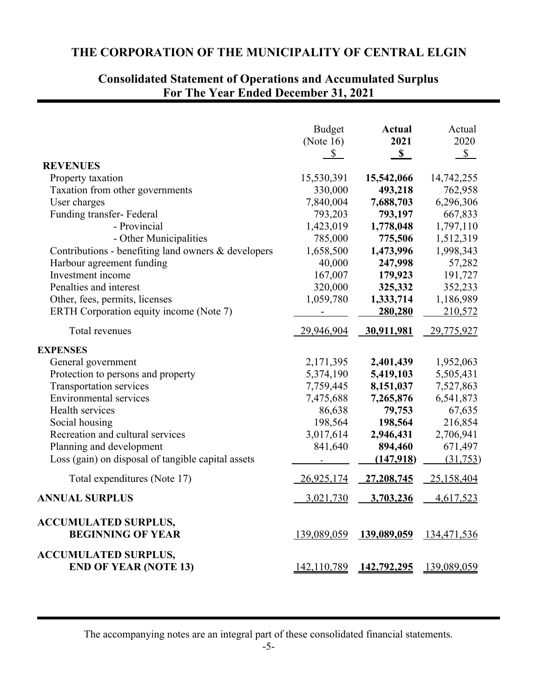## Budget **Actual** Actual (Note 16) **2021** 2020  $\begin{array}{c|c}\n\text{S} & \text{S}\n\end{array}$  **REVENUES** Property taxation 15,530,391 **15,542,066** 14,742,255 Taxation from other governments 330,000 **493,218** 762,958 User charges **7,840,004** 7,688,703 6,296,306 Funding transfer- Federal 793,203 **793,197** 667,833 - Provincial 1,423,019 **1,778,048** 1,797,110 - Other Municipalities 785,000 **775,506** 1,512,319 Contributions - benefiting land owners & developers 1,658,500 **1,473,996** 1,998,343 Harbour agreement funding 40,000 **247,998** 57,282 Investment income 167,007 **179,923** 191,727 Penalties and interest 320,000 **325,332** 352,233 Other, fees, permits, licenses 1,059,780 **1,333,714** 1,186,989 ERTH Corporation equity income (Note 7)  $\qquad \qquad$  **280,280** 210,572 Total revenues 29,946,904 **30,911,981** 29,775,927 **EXPENSES** General government 2,171,395 **2,401,439** 1,952,063 Protection to persons and property 5,374,190 **5,419,103** 5,505,431 Transportation services 7,759,445 **8,151,037** 7,527,863 Environmental services 7,475,688 **7,265,876** 6,541,873 Health services 86,638 **79,753** 67,635 Social housing 198,564 **198,564** 216,854 Recreation and cultural services 3,017,614 **2,946,431** 2,706,941 Planning and development 841,640 894,460 671,497 Loss (gain) on disposal of tangible capital assets  $(31,753)$ Total expenditures (Note 17) 26,925,174 **27,208,745** 25,158,404 **ANNUAL SURPLUS** 3,021,730 **3,703,236** 4,617,523 **ACCUMULATED SURPLUS, BEGINNING OF YEAR** 139,089,059 **139,089,059** 134,471,536 **ACCUMULATED SURPLUS, END OF YEAR (NOTE 13)** 142,110,789 **142,792,295** 139,089,059

### **Consolidated Statement of Operations and Accumulated Surplus For The Year Ended December 31, 2021**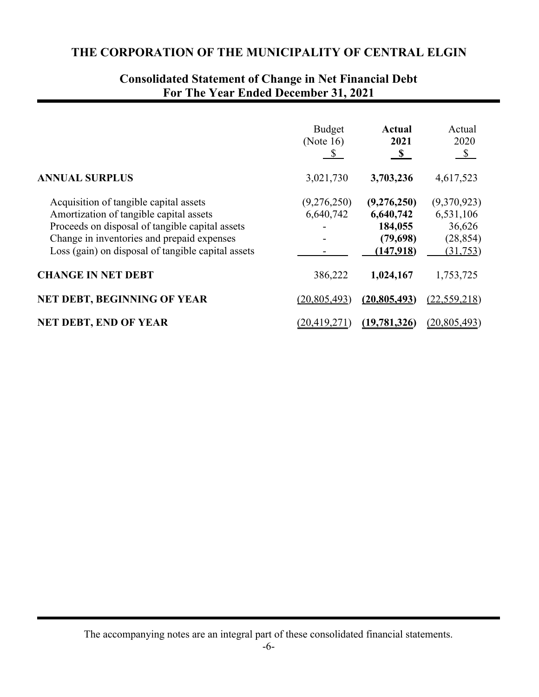|                                                    | <b>Budget</b><br>(Note $16$ ) | Actual<br>2021<br>$\mathbf{\mathcal{S}}$ | Actual<br>2020<br>$\sqrt{\frac{2}{2}}$ |
|----------------------------------------------------|-------------------------------|------------------------------------------|----------------------------------------|
| <b>ANNUAL SURPLUS</b>                              | 3,021,730                     | 3,703,236                                | 4,617,523                              |
| Acquisition of tangible capital assets             | (9,276,250)                   | (9,276,250)                              | (9,370,923)                            |
| Amortization of tangible capital assets            | 6,640,742                     | 6,640,742                                | 6,531,106                              |
| Proceeds on disposal of tangible capital assets    |                               | 184,055                                  | 36,626                                 |
| Change in inventories and prepaid expenses         |                               | (79, 698)                                | (28, 854)                              |
| Loss (gain) on disposal of tangible capital assets |                               | (147,918)                                | (31,753)                               |
| <b>CHANGE IN NET DEBT</b>                          | 386,222                       | 1,024,167                                | 1,753,725                              |
| <b>NET DEBT, BEGINNING OF YEAR</b>                 | (20, 805, 493)                | (20, 805, 493)                           | (22, 559, 218)                         |
| <b>NET DEBT, END OF YEAR</b>                       | (20, 419, 271)                | (19,781,326)                             | (20, 805, 493)                         |

# **Consolidated Statement of Change in Net Financial Debt For The Year Ended December 31, 2021**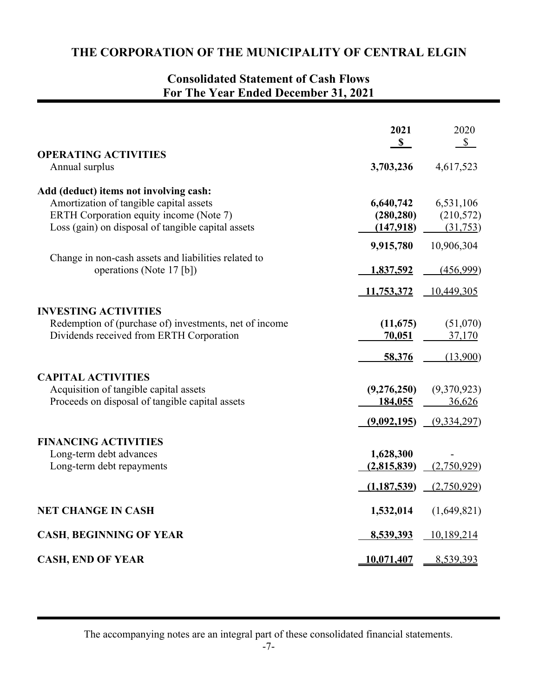# **Consolidated Statement of Cash Flows For The Year Ended December 31, 2021**

|                                                        | 2021<br>$\sqrt{s}$ | 2020<br>$\mathbb{S}$ |
|--------------------------------------------------------|--------------------|----------------------|
| <b>OPERATING ACTIVITIES</b><br>Annual surplus          | 3,703,236          | 4,617,523            |
| Add (deduct) items not involving cash:                 |                    |                      |
| Amortization of tangible capital assets                | 6,640,742          | 6,531,106            |
| ERTH Corporation equity income (Note 7)                | (280, 280)         | (210, 572)           |
| Loss (gain) on disposal of tangible capital assets     | (147,918)          | (31,753)             |
|                                                        | 9,915,780          | 10,906,304           |
| Change in non-cash assets and liabilities related to   |                    |                      |
| operations (Note 17 [b])                               | 1,837,592          | (456,999)            |
|                                                        | 11,753,372         | <u>10,449,305</u>    |
| <b>INVESTING ACTIVITIES</b>                            |                    |                      |
| Redemption of (purchase of) investments, net of income | (11,675)           | (51,070)             |
| Dividends received from ERTH Corporation               | 70,051             | 37,170               |
|                                                        | 58,376             | (13,900)             |
| <b>CAPITAL ACTIVITIES</b>                              |                    |                      |
| Acquisition of tangible capital assets                 | (9, 276, 250)      | (9,370,923)          |
| Proceeds on disposal of tangible capital assets        | 184,055            | 36,626               |
|                                                        |                    |                      |
|                                                        | (9,092,195)        | (9,334,297)          |
| <b>FINANCING ACTIVITIES</b>                            |                    |                      |
| Long-term debt advances                                | 1,628,300          |                      |
| Long-term debt repayments                              | (2,815,839)        | (2,750,929)          |
|                                                        | (1,187,539)        | (2,750,929)          |
| <b>NET CHANGE IN CASH</b>                              | 1,532,014          | (1,649,821)          |
| <b>CASH, BEGINNING OF YEAR</b>                         | 8,539,393          | <u>10,189,214</u>    |
| <b>CASH, END OF YEAR</b>                               | 10,071,407         | 8,539,393            |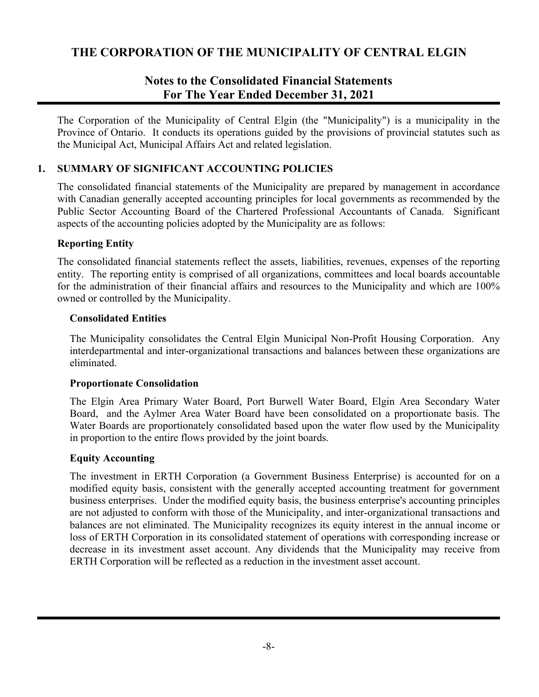## **Notes to the Consolidated Financial Statements For The Year Ended December 31, 2021**

The Corporation of the Municipality of Central Elgin (the "Municipality") is a municipality in the Province of Ontario. It conducts its operations guided by the provisions of provincial statutes such as the Municipal Act, Municipal Affairs Act and related legislation.

### **1. SUMMARY OF SIGNIFICANT ACCOUNTING POLICIES**

The consolidated financial statements of the Municipality are prepared by management in accordance with Canadian generally accepted accounting principles for local governments as recommended by the Public Sector Accounting Board of the Chartered Professional Accountants of Canada. Significant aspects of the accounting policies adopted by the Municipality are as follows:

#### **Reporting Entity**

The consolidated financial statements reflect the assets, liabilities, revenues, expenses of the reporting entity. The reporting entity is comprised of all organizations, committees and local boards accountable for the administration of their financial affairs and resources to the Municipality and which are 100% owned or controlled by the Municipality.

#### **Consolidated Entities**

The Municipality consolidates the Central Elgin Municipal Non-Profit Housing Corporation. Any interdepartmental and inter-organizational transactions and balances between these organizations are eliminated.

#### **Proportionate Consolidation**

The Elgin Area Primary Water Board, Port Burwell Water Board, Elgin Area Secondary Water Board, and the Aylmer Area Water Board have been consolidated on a proportionate basis. The Water Boards are proportionately consolidated based upon the water flow used by the Municipality in proportion to the entire flows provided by the joint boards.

#### **Equity Accounting**

The investment in ERTH Corporation (a Government Business Enterprise) is accounted for on a modified equity basis, consistent with the generally accepted accounting treatment for government business enterprises. Under the modified equity basis, the business enterprise's accounting principles are not adjusted to conform with those of the Municipality, and inter-organizational transactions and balances are not eliminated. The Municipality recognizes its equity interest in the annual income or loss of ERTH Corporation in its consolidated statement of operations with corresponding increase or decrease in its investment asset account. Any dividends that the Municipality may receive from ERTH Corporation will be reflected as a reduction in the investment asset account.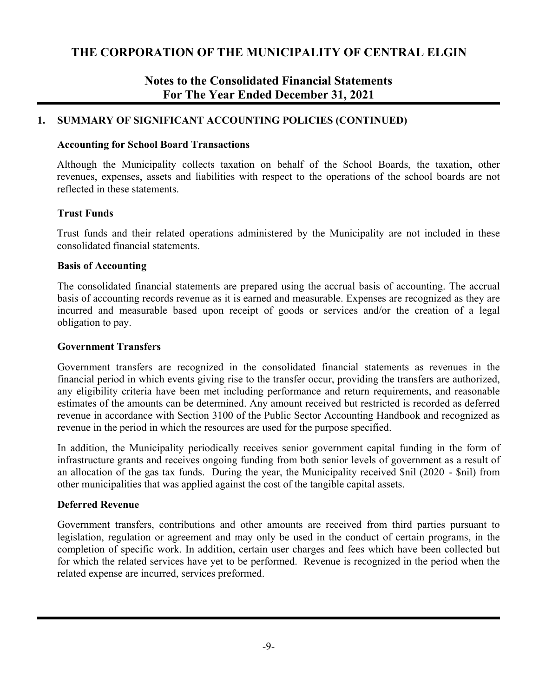### **Notes to the Consolidated Financial Statements For The Year Ended December 31, 2021**

### **1. SUMMARY OF SIGNIFICANT ACCOUNTING POLICIES (CONTINUED)**

#### **Accounting for School Board Transactions**

Although the Municipality collects taxation on behalf of the School Boards, the taxation, other revenues, expenses, assets and liabilities with respect to the operations of the school boards are not reflected in these statements.

#### **Trust Funds**

Trust funds and their related operations administered by the Municipality are not included in these consolidated financial statements.

#### **Basis of Accounting**

The consolidated financial statements are prepared using the accrual basis of accounting. The accrual basis of accounting records revenue as it is earned and measurable. Expenses are recognized as they are incurred and measurable based upon receipt of goods or services and/or the creation of a legal obligation to pay.

#### **Government Transfers**

Government transfers are recognized in the consolidated financial statements as revenues in the financial period in which events giving rise to the transfer occur, providing the transfers are authorized, any eligibility criteria have been met including performance and return requirements, and reasonable estimates of the amounts can be determined. Any amount received but restricted is recorded as deferred revenue in accordance with Section 3100 of the Public Sector Accounting Handbook and recognized as revenue in the period in which the resources are used for the purpose specified.

In addition, the Municipality periodically receives senior government capital funding in the form of infrastructure grants and receives ongoing funding from both senior levels of government as a result of an allocation of the gas tax funds. During the year, the Municipality received \$nil (2020 - \$nil) from other municipalities that was applied against the cost of the tangible capital assets.

#### **Deferred Revenue**

Government transfers, contributions and other amounts are received from third parties pursuant to legislation, regulation or agreement and may only be used in the conduct of certain programs, in the completion of specific work. In addition, certain user charges and fees which have been collected but for which the related services have yet to be performed. Revenue is recognized in the period when the related expense are incurred, services preformed.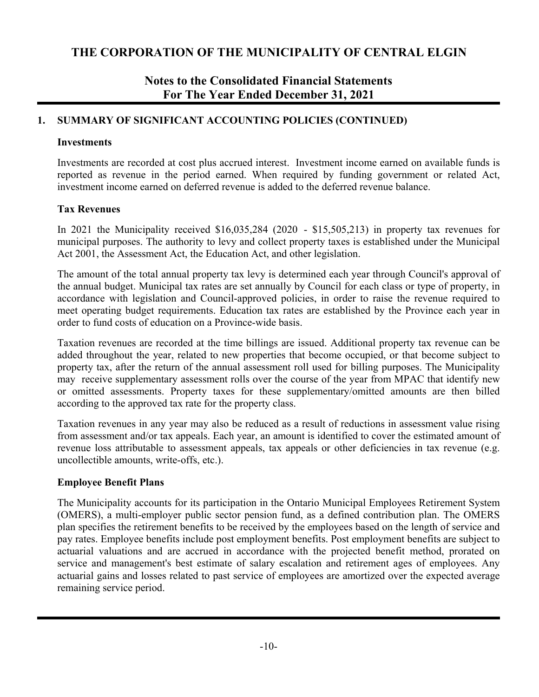## **Notes to the Consolidated Financial Statements For The Year Ended December 31, 2021**

### **1. SUMMARY OF SIGNIFICANT ACCOUNTING POLICIES (CONTINUED)**

#### **Investments**

Investments are recorded at cost plus accrued interest. Investment income earned on available funds is reported as revenue in the period earned. When required by funding government or related Act, investment income earned on deferred revenue is added to the deferred revenue balance.

### **Tax Revenues**

In 2021 the Municipality received \$16,035,284 (2020 - \$15,505,213) in property tax revenues for municipal purposes. The authority to levy and collect property taxes is established under the Municipal Act 2001, the Assessment Act, the Education Act, and other legislation.

The amount of the total annual property tax levy is determined each year through Council's approval of the annual budget. Municipal tax rates are set annually by Council for each class or type of property, in accordance with legislation and Council-approved policies, in order to raise the revenue required to meet operating budget requirements. Education tax rates are established by the Province each year in order to fund costs of education on a Province-wide basis.

Taxation revenues are recorded at the time billings are issued. Additional property tax revenue can be added throughout the year, related to new properties that become occupied, or that become subject to property tax, after the return of the annual assessment roll used for billing purposes. The Municipality may receive supplementary assessment rolls over the course of the year from MPAC that identify new or omitted assessments. Property taxes for these supplementary/omitted amounts are then billed according to the approved tax rate for the property class.

Taxation revenues in any year may also be reduced as a result of reductions in assessment value rising from assessment and/or tax appeals. Each year, an amount is identified to cover the estimated amount of revenue loss attributable to assessment appeals, tax appeals or other deficiencies in tax revenue (e.g. uncollectible amounts, write-offs, etc.).

### **Employee Benefit Plans**

The Municipality accounts for its participation in the Ontario Municipal Employees Retirement System (OMERS), a multi-employer public sector pension fund, as a defined contribution plan. The OMERS plan specifies the retirement benefits to be received by the employees based on the length of service and pay rates. Employee benefits include post employment benefits. Post employment benefits are subject to actuarial valuations and are accrued in accordance with the projected benefit method, prorated on service and management's best estimate of salary escalation and retirement ages of employees. Any actuarial gains and losses related to past service of employees are amortized over the expected average remaining service period.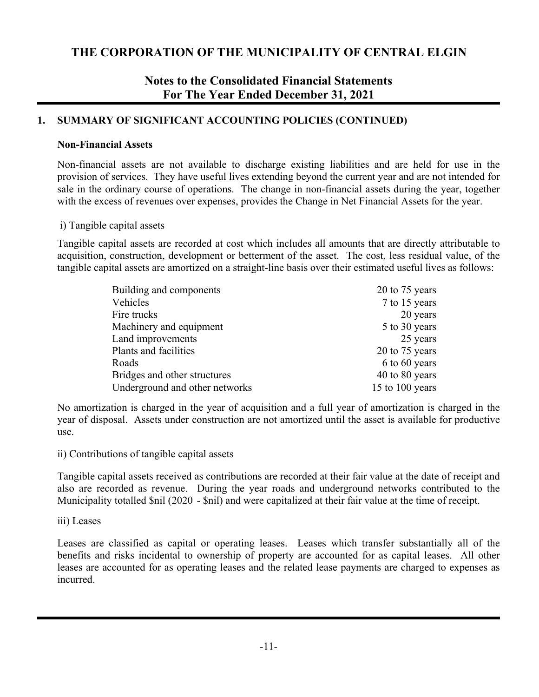### **Notes to the Consolidated Financial Statements For The Year Ended December 31, 2021**

### **1. SUMMARY OF SIGNIFICANT ACCOUNTING POLICIES (CONTINUED)**

#### **Non-Financial Assets**

Non-financial assets are not available to discharge existing liabilities and are held for use in the provision of services. They have useful lives extending beyond the current year and are not intended for sale in the ordinary course of operations. The change in non-financial assets during the year, together with the excess of revenues over expenses, provides the Change in Net Financial Assets for the year.

#### i) Tangible capital assets

Tangible capital assets are recorded at cost which includes all amounts that are directly attributable to acquisition, construction, development or betterment of the asset. The cost, less residual value, of the tangible capital assets are amortized on a straight-line basis over their estimated useful lives as follows:

| Building and components        | $20$ to 75 years |
|--------------------------------|------------------|
| Vehicles                       | 7 to 15 years    |
| Fire trucks                    | 20 years         |
| Machinery and equipment        | 5 to 30 years    |
| Land improvements              | 25 years         |
| Plants and facilities          | 20 to 75 years   |
| Roads                          | 6 to 60 years    |
| Bridges and other structures   | 40 to 80 years   |
| Underground and other networks | 15 to 100 years  |

No amortization is charged in the year of acquisition and a full year of amortization is charged in the year of disposal. Assets under construction are not amortized until the asset is available for productive use.

ii) Contributions of tangible capital assets

Tangible capital assets received as contributions are recorded at their fair value at the date of receipt and also are recorded as revenue. During the year roads and underground networks contributed to the Municipality totalled \$nil (2020 - \$nil) and were capitalized at their fair value at the time of receipt.

#### iii) Leases

Leases are classified as capital or operating leases. Leases which transfer substantially all of the benefits and risks incidental to ownership of property are accounted for as capital leases. All other leases are accounted for as operating leases and the related lease payments are charged to expenses as incurred.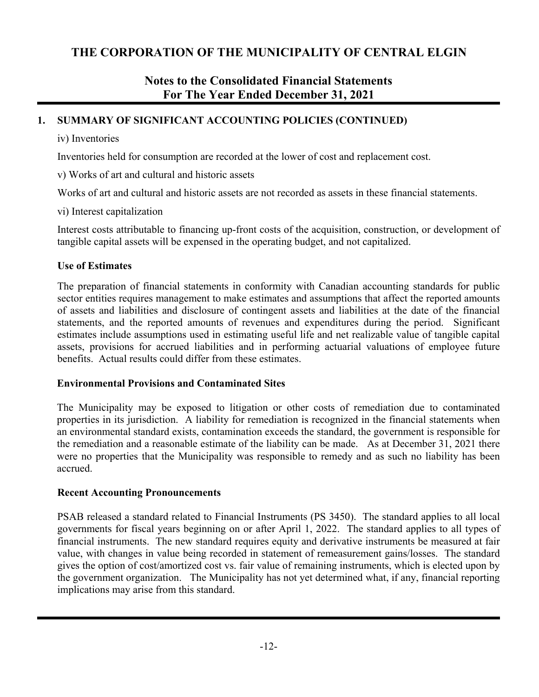## **Notes to the Consolidated Financial Statements For The Year Ended December 31, 2021**

### **1. SUMMARY OF SIGNIFICANT ACCOUNTING POLICIES (CONTINUED)**

### iv) Inventories

Inventories held for consumption are recorded at the lower of cost and replacement cost.

v) Works of art and cultural and historic assets

Works of art and cultural and historic assets are not recorded as assets in these financial statements.

### vi) Interest capitalization

Interest costs attributable to financing up-front costs of the acquisition, construction, or development of tangible capital assets will be expensed in the operating budget, and not capitalized.

### **Use of Estimates**

The preparation of financial statements in conformity with Canadian accounting standards for public sector entities requires management to make estimates and assumptions that affect the reported amounts of assets and liabilities and disclosure of contingent assets and liabilities at the date of the financial statements, and the reported amounts of revenues and expenditures during the period. Significant estimates include assumptions used in estimating useful life and net realizable value of tangible capital assets, provisions for accrued liabilities and in performing actuarial valuations of employee future benefits. Actual results could differ from these estimates.

### **Environmental Provisions and Contaminated Sites**

The Municipality may be exposed to litigation or other costs of remediation due to contaminated properties in its jurisdiction. A liability for remediation is recognized in the financial statements when an environmental standard exists, contamination exceeds the standard, the government is responsible for the remediation and a reasonable estimate of the liability can be made. As at December 31, 2021 there were no properties that the Municipality was responsible to remedy and as such no liability has been accrued.

### **Recent Accounting Pronouncements**

PSAB released a standard related to Financial Instruments (PS 3450). The standard applies to all local governments for fiscal years beginning on or after April 1, 2022. The standard applies to all types of financial instruments. The new standard requires equity and derivative instruments be measured at fair value, with changes in value being recorded in statement of remeasurement gains/losses. The standard gives the option of cost/amortized cost vs. fair value of remaining instruments, which is elected upon by the government organization. The Municipality has not yet determined what, if any, financial reporting implications may arise from this standard.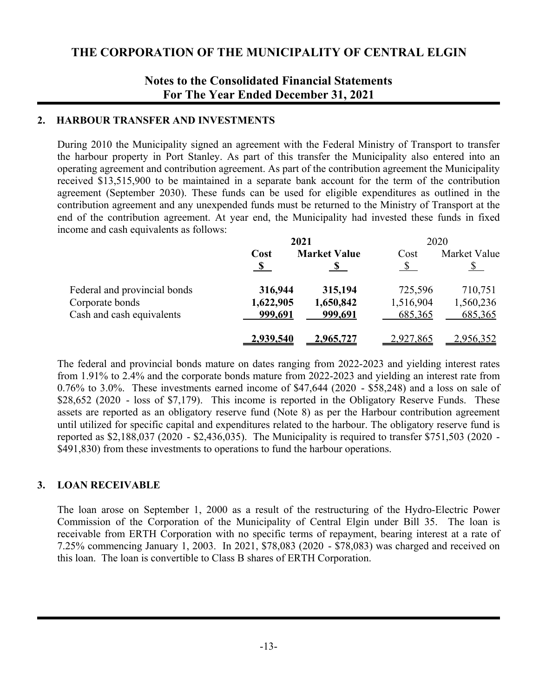### **Notes to the Consolidated Financial Statements For The Year Ended December 31, 2021**

#### **2. HARBOUR TRANSFER AND INVESTMENTS**

During 2010 the Municipality signed an agreement with the Federal Ministry of Transport to transfer the harbour property in Port Stanley. As part of this transfer the Municipality also entered into an operating agreement and contribution agreement. As part of the contribution agreement the Municipality received \$13,515,900 to be maintained in a separate bank account for the term of the contribution agreement (September 2030). These funds can be used for eligible expenditures as outlined in the contribution agreement and any unexpended funds must be returned to the Ministry of Transport at the end of the contribution agreement. At year end, the Municipality had invested these funds in fixed income and cash equivalents as follows:

|                              | 2021             |                     | 2020             |              |
|------------------------------|------------------|---------------------|------------------|--------------|
|                              | Cost             | <b>Market Value</b> | Cost             | Market Value |
|                              |                  |                     |                  |              |
| Federal and provincial bonds | 316,944          | 315,194             | 725,596          | 710,751      |
| Corporate bonds              | 1,622,905        | 1,650,842           | 1,516,904        | 1,560,236    |
| Cash and cash equivalents    | 999,691          | 999,691             | 685,365          | 685,365      |
|                              | <u>2,939,540</u> | 2,965,727           | <u>2,927,865</u> | 2,956,352    |

The federal and provincial bonds mature on dates ranging from 2022-2023 and yielding interest rates from 1.91% to 2.4% and the corporate bonds mature from 2022-2023 and yielding an interest rate from 0.76% to 3.0%. These investments earned income of \$47,644 (2020 - \$58,248) and a loss on sale of \$28,652 (2020 - loss of \$7,179). This income is reported in the Obligatory Reserve Funds. These assets are reported as an obligatory reserve fund (Note 8) as per the Harbour contribution agreement until utilized for specific capital and expenditures related to the harbour. The obligatory reserve fund is reported as \$2,188,037 (2020 - \$2,436,035). The Municipality is required to transfer \$751,503 (2020 - \$491,830) from these investments to operations to fund the harbour operations.

### **3. LOAN RECEIVABLE**

The loan arose on September 1, 2000 as a result of the restructuring of the Hydro-Electric Power Commission of the Corporation of the Municipality of Central Elgin under Bill 35. The loan is receivable from ERTH Corporation with no specific terms of repayment, bearing interest at a rate of 7.25% commencing January 1, 2003. In 2021, \$78,083 (2020 - \$78,083) was charged and received on this loan. The loan is convertible to Class B shares of ERTH Corporation.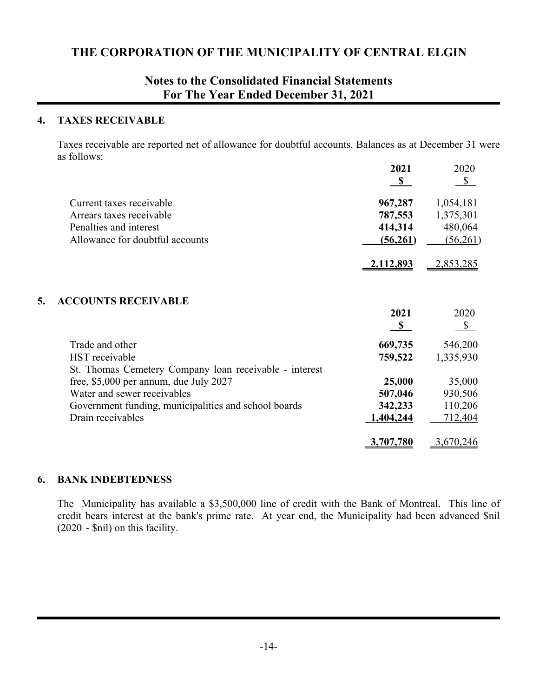## **Notes to the Consolidated Financial Statements For The Year Ended December 31, 2021**

#### **4. TAXES RECEIVABLE**

Taxes receivable are reported net of allowance for doubtful accounts. Balances as at December 31 were as follows:

|    |                                                        | 2021<br>$\mathbf{s}$ | 2020<br>$\mathbb{S}$ |
|----|--------------------------------------------------------|----------------------|----------------------|
|    | Current taxes receivable                               | 967,287              | 1,054,181            |
|    | Arrears taxes receivable                               | 787,553              | 1,375,301            |
|    | Penalties and interest                                 | 414,314              | 480,064              |
|    | Allowance for doubtful accounts                        | (56,261)             | (56,261)             |
|    |                                                        | 2,112,893            | 2,853,285            |
| 5. | <b>ACCOUNTS RECEIVABLE</b>                             | 2021<br>S.           | 2020<br>$\mathbb{S}$ |
|    | Trade and other                                        | 669,735              | 546,200              |
|    | HST receivable                                         | 759,522              | 1,335,930            |
|    | St. Thomas Cemetery Company loan receivable - interest |                      |                      |
|    | free, \$5,000 per annum, due July 2027                 | 25,000               | 35,000               |
|    | Water and sewer receivables                            | 507,046              | 930,506              |
|    | Government funding, municipalities and school boards   | 342,233              | 110,206              |
|    | Drain receivables                                      | 1,404,244            | 712,404              |
|    |                                                        | 3,707,780            | 3,670,246            |

#### **6. BANK INDEBTEDNESS**

The Municipality has available a \$3,500,000 line of credit with the Bank of Montreal. This line of credit bears interest at the bank's prime rate. At year end, the Municipality had been advanced \$nil (2020 - \$nil) on this facility.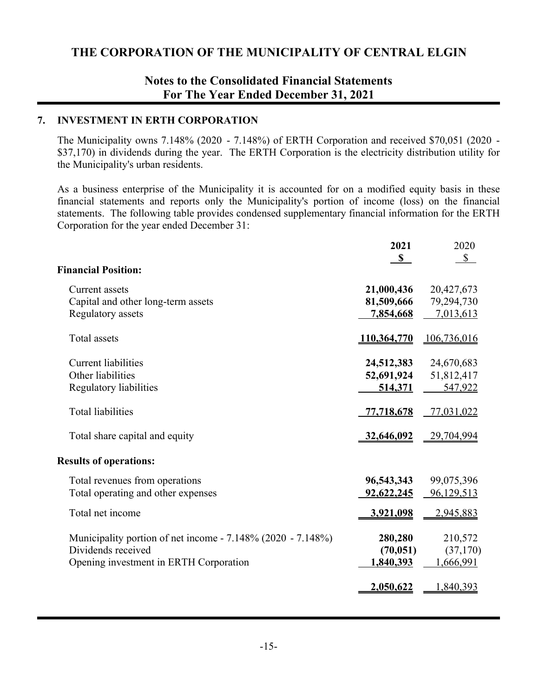## **Notes to the Consolidated Financial Statements For The Year Ended December 31, 2021**

#### **7. INVESTMENT IN ERTH CORPORATION**

The Municipality owns 7.148% (2020 - 7.148%) of ERTH Corporation and received \$70,051 (2020 - \$37,170) in dividends during the year. The ERTH Corporation is the electricity distribution utility for the Municipality's urban residents.

As a business enterprise of the Municipality it is accounted for on a modified equity basis in these financial statements and reports only the Municipality's portion of income (loss) on the financial statements. The following table provides condensed supplementary financial information for the ERTH Corporation for the year ended December 31:

|                                                             | 2021         | 2020              |
|-------------------------------------------------------------|--------------|-------------------|
|                                                             | $\mathbf{s}$ | $\mathbb{S}$      |
| <b>Financial Position:</b>                                  |              |                   |
| Current assets                                              | 21,000,436   | 20,427,673        |
| Capital and other long-term assets                          | 81,509,666   | 79,294,730        |
| Regulatory assets                                           | 7,854,668    | 7,013,613         |
| <b>Total</b> assets                                         | 110,364,770  | 106,736,016       |
| <b>Current liabilities</b>                                  | 24,512,383   | 24,670,683        |
| Other liabilities                                           | 52,691,924   | 51,812,417        |
| Regulatory liabilities                                      | 514,371      | 547,922           |
| <b>Total liabilities</b>                                    | 77,718,678   | $-77,031,022$     |
| Total share capital and equity                              | 32,646,092   | <u>29,704,994</u> |
| <b>Results of operations:</b>                               |              |                   |
| Total revenues from operations                              | 96,543,343   | 99,075,396        |
| Total operating and other expenses                          | 92,622,245   | 96,129,513        |
| Total net income                                            | 3,921,098    | 2,945,883         |
| Municipality portion of net income - 7.148% (2020 - 7.148%) | 280,280      | 210,572           |
| Dividends received                                          | (70, 051)    | (37, 170)         |
| Opening investment in ERTH Corporation                      | 1,840,393    | 1,666,991         |
|                                                             |              |                   |
|                                                             | 2,050,622    | 1,840,393         |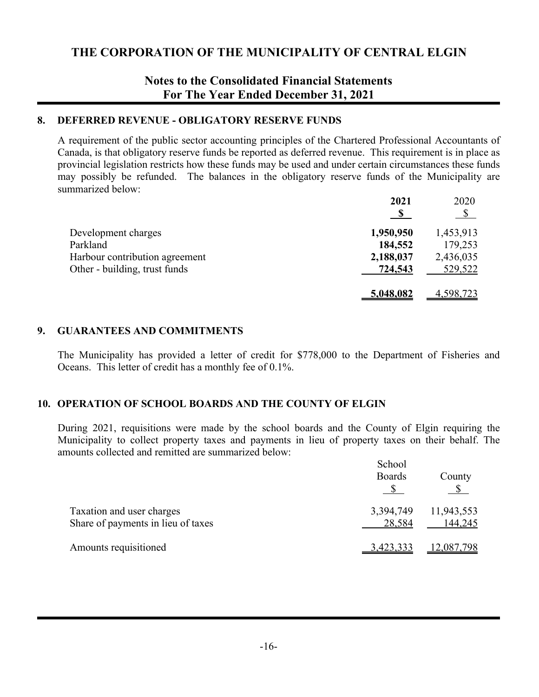### **Notes to the Consolidated Financial Statements For The Year Ended December 31, 2021**

#### **8. DEFERRED REVENUE - OBLIGATORY RESERVE FUNDS**

A requirement of the public sector accounting principles of the Chartered Professional Accountants of Canada, is that obligatory reserve funds be reported as deferred revenue. This requirement is in place as provincial legislation restricts how these funds may be used and under certain circumstances these funds may possibly be refunded. The balances in the obligatory reserve funds of the Municipality are summarized below:

|                                | 2021                      | 2020                 |
|--------------------------------|---------------------------|----------------------|
|                                | $\boldsymbol{\mathsf{S}}$ | $\sqrt{\frac{1}{2}}$ |
| Development charges            | 1,950,950                 | 1,453,913            |
| Parkland                       | 184,552                   | 179,253              |
| Harbour contribution agreement | 2,188,037                 | 2,436,035            |
| Other - building, trust funds  | 724,543                   | 529,522              |
|                                | 5,048,082                 | 4,598,723            |

#### **9. GUARANTEES AND COMMITMENTS**

The Municipality has provided a letter of credit for \$778,000 to the Department of Fisheries and Oceans. This letter of credit has a monthly fee of 0.1%.

### **10. OPERATION OF SCHOOL BOARDS AND THE COUNTY OF ELGIN**

During 2021, requisitions were made by the school boards and the County of Elgin requiring the Municipality to collect property taxes and payments in lieu of property taxes on their behalf. The amounts collected and remitted are summarized below:

|                                                                 | School<br><b>Boards</b> | County                |
|-----------------------------------------------------------------|-------------------------|-----------------------|
| Taxation and user charges<br>Share of payments in lieu of taxes | 3,394,749<br>28,584     | 11,943,553<br>144,245 |
| Amounts requisitioned                                           | 3,423,333               | 12,087,798            |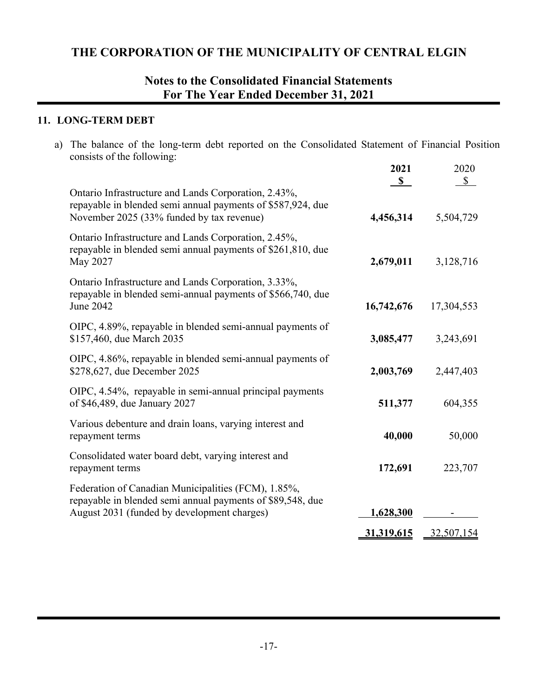# **Notes to the Consolidated Financial Statements For The Year Ended December 31, 2021**

#### **11. LONG-TERM DEBT**

a) The balance of the long-term debt reported on the Consolidated Statement of Financial Position consists of the following:

|                                                                                                                                                                  | 2021                      | 2020                      |
|------------------------------------------------------------------------------------------------------------------------------------------------------------------|---------------------------|---------------------------|
| Ontario Infrastructure and Lands Corporation, 2.43%,<br>repayable in blended semi annual payments of \$587,924, due<br>November 2025 (33% funded by tax revenue) | $\mathbb{S}$<br>4,456,314 | $\mathbb{S}$<br>5,504,729 |
| Ontario Infrastructure and Lands Corporation, 2.45%,<br>repayable in blended semi annual payments of \$261,810, due<br>May 2027                                  | 2,679,011                 | 3,128,716                 |
| Ontario Infrastructure and Lands Corporation, 3.33%,<br>repayable in blended semi-annual payments of \$566,740, due<br>June 2042                                 | 16,742,676                | 17,304,553                |
| OIPC, 4.89%, repayable in blended semi-annual payments of<br>\$157,460, due March 2035                                                                           | 3,085,477                 | 3,243,691                 |
| OIPC, 4.86%, repayable in blended semi-annual payments of<br>\$278,627, due December 2025                                                                        | 2,003,769                 | 2,447,403                 |
| OIPC, 4.54%, repayable in semi-annual principal payments<br>of \$46,489, due January 2027                                                                        | 511,377                   | 604,355                   |
| Various debenture and drain loans, varying interest and<br>repayment terms                                                                                       | 40,000                    | 50,000                    |
| Consolidated water board debt, varying interest and<br>repayment terms                                                                                           | 172,691                   | 223,707                   |
| Federation of Canadian Municipalities (FCM), 1.85%,<br>repayable in blended semi annual payments of \$89,548, due                                                |                           |                           |
| August 2031 (funded by development charges)                                                                                                                      | 1,628,300                 |                           |
|                                                                                                                                                                  | 31,319,615                | 32,507,154                |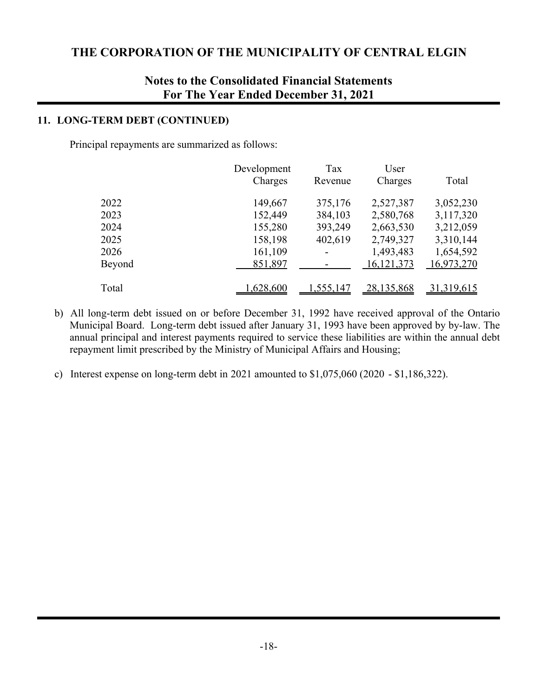### **Notes to the Consolidated Financial Statements For The Year Ended December 31, 2021**

### **11. LONG-TERM DEBT (CONTINUED)**

Principal repayments are summarized as follows:

|        | Development<br>Charges | Tax<br>Revenue | User<br>Charges | Total      |
|--------|------------------------|----------------|-----------------|------------|
| 2022   | 149,667                | 375,176        | 2,527,387       | 3,052,230  |
| 2023   | 152,449                | 384,103        | 2,580,768       | 3,117,320  |
| 2024   | 155,280                | 393,249        | 2,663,530       | 3,212,059  |
| 2025   | 158,198                | 402,619        | 2,749,327       | 3,310,144  |
| 2026   | 161,109                |                | 1,493,483       | 1,654,592  |
| Beyond | 851,897                |                | 16, 121, 373    | 16,973,270 |
| Total  | 1,628,600              | 1,555,147      | 28, 135, 868    | 31,319,615 |

- b) All long-term debt issued on or before December 31, 1992 have received approval of the Ontario Municipal Board. Long-term debt issued after January 31, 1993 have been approved by by-law. The annual principal and interest payments required to service these liabilities are within the annual debt repayment limit prescribed by the Ministry of Municipal Affairs and Housing;
- c) Interest expense on long-term debt in 2021 amounted to \$1,075,060 (2020 \$1,186,322).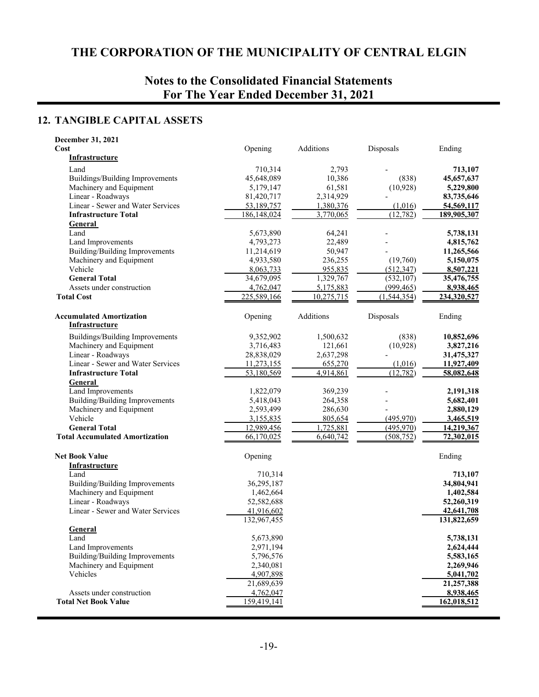# **Notes to the Consolidated Financial Statements For The Year Ended December 31, 2021**

## **12. TANGIBLE CAPITAL ASSETS**

| December 31, 2021                     |             |            |               |             |
|---------------------------------------|-------------|------------|---------------|-------------|
| Cost                                  | Opening     | Additions  | Disposals     | Ending      |
| <b>Infrastructure</b>                 |             |            |               |             |
| Land                                  | 710,314     | 2,793      |               | 713,107     |
| Buildings/Building Improvements       | 45,648,089  | 10,386     | (838)         | 45,657,637  |
| Machinery and Equipment               | 5,179,147   | 61,581     | (10, 928)     | 5,229,800   |
| Linear - Roadways                     | 81,420,717  | 2,314,929  |               | 83,735,646  |
| Linear - Sewer and Water Services     | 53,189,757  | 1,380,376  | (1,016)       | 54,569,117  |
| <b>Infrastructure Total</b>           | 186,148,024 | 3,770,065  | (12, 782)     | 189,905,307 |
| General                               |             |            |               |             |
| Land                                  | 5,673,890   | 64,241     |               | 5,738,131   |
| Land Improvements                     | 4,793,273   | 22,489     |               | 4,815,762   |
| Building/Building Improvements        | 11,214,619  | 50,947     |               | 11,265,566  |
| Machinery and Equipment               | 4,933,580   | 236,255    | (19,760)      | 5,150,075   |
| Vehicle                               | 8,063,733   | 955,835    | (512, 347)    | 8,507,221   |
| <b>General Total</b>                  | 34,679,095  | 1,329,767  | (532, 107)    | 35,476,755  |
| Assets under construction             | 4,762,047   | 5,175,883  | (999, 465)    | 8,938,465   |
| <b>Total Cost</b>                     | 225,589,166 | 10,275,715 | (1, 544, 354) | 234,320,527 |
|                                       |             |            |               |             |
| <b>Accumulated Amortization</b>       | Opening     | Additions  | Disposals     | Ending      |
| <b>Infrastructure</b>                 |             |            |               |             |
|                                       |             |            |               |             |
| Buildings/Building Improvements       | 9,352,902   | 1,500,632  | (838)         | 10,852,696  |
| Machinery and Equipment               | 3,716,483   | 121,661    | (10, 928)     | 3,827,216   |
| Linear - Roadways                     | 28,838,029  | 2,637,298  |               | 31,475,327  |
| Linear - Sewer and Water Services     | 11,273,155  | 655,270    | (1,016)       | 11,927,409  |
| <b>Infrastructure Total</b>           | 53,180,569  | 4,914,861  | (12, 782)     | 58,082,648  |
| General                               |             |            |               |             |
| Land Improvements                     | 1,822,079   | 369,239    |               | 2,191,318   |
| Building/Building Improvements        | 5,418,043   | 264,358    |               | 5,682,401   |
| Machinery and Equipment               | 2,593,499   | 286,630    |               | 2,880,129   |
| Vehicle                               | 3,155,835   | 805,654    | (495,970)     | 3,465,519   |
| <b>General Total</b>                  | 12,989,456  | 1,725,881  | (495,970)     | 14,219,367  |
| <b>Total Accumulated Amortization</b> | 66,170,025  | 6,640,742  | (508, 752)    | 72,302,015  |
|                                       |             |            |               |             |
| <b>Net Book Value</b>                 | Opening     |            |               | Ending      |
| Infrastructure                        |             |            |               |             |
| Land                                  | 710,314     |            |               | 713,107     |
| Building/Building Improvements        | 36,295,187  |            |               | 34,804,941  |
| Machinery and Equipment               | 1,462,664   |            |               | 1,402,584   |
| Linear - Roadways                     | 52,582,688  |            |               | 52,260,319  |
| Linear - Sewer and Water Services     | 41,916,602  |            |               | 42,641,708  |
|                                       | 132,967,455 |            |               | 131,822,659 |
| General                               |             |            |               |             |
| Land                                  | 5,673,890   |            |               | 5,738,131   |
| Land Improvements                     | 2,971,194   |            |               | 2,624,444   |
| Building/Building Improvements        | 5,796,576   |            |               | 5,583,165   |
| Machinery and Equipment               | 2,340,081   |            |               | 2,269,946   |
| Vehicles                              | 4,907,898   |            |               | 5,041,702   |
|                                       | 21,689,639  |            |               | 21,257,388  |
| Assets under construction             | 4,762,047   |            |               | 8,938,465   |
| <b>Total Net Book Value</b>           | 159,419,141 |            |               | 162,018,512 |
|                                       |             |            |               |             |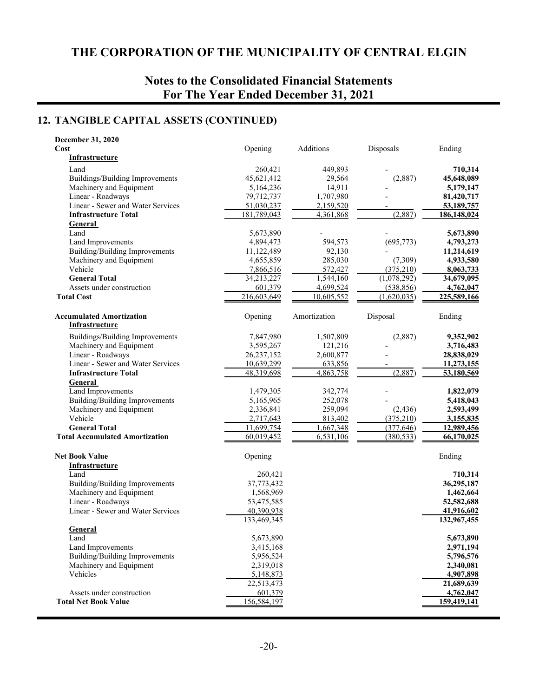# **Notes to the Consolidated Financial Statements For The Year Ended December 31, 2021**

## **12. TANGIBLE CAPITAL ASSETS (CONTINUED)**

| December 31, 2020                     |             |                        |             |                        |
|---------------------------------------|-------------|------------------------|-------------|------------------------|
| Cost                                  | Opening     | Additions              | Disposals   | Ending                 |
| <b>Infrastructure</b>                 |             |                        |             |                        |
| Land                                  | 260,421     | 449,893                |             | 710,314                |
| Buildings/Building Improvements       | 45,621,412  | 29,564                 | (2,887)     | 45,648,089             |
| Machinery and Equipment               | 5,164,236   | 14,911                 |             | 5,179,147              |
| Linear - Roadways                     | 79,712,737  | 1,707,980              |             | 81,420,717             |
| Linear - Sewer and Water Services     | 51,030,237  | 2,159,520              |             | 53,189,757             |
| <b>Infrastructure Total</b>           | 181,789,043 | 4,361,868              | (2,887)     | 186,148,024            |
| General                               |             |                        |             |                        |
| Land                                  | 5,673,890   |                        |             | 5,673,890              |
| Land Improvements                     | 4,894,473   | 594,573                | (695, 773)  | 4,793,273              |
| Building/Building Improvements        | 11,122,489  | 92,130                 |             | 11,214,619             |
| Machinery and Equipment               | 4,655,859   | 285,030                | (7,309)     | 4,933,580              |
| Vehicle                               | 7,866,516   | 572,427                | (375,210)   | 8,063,733              |
| <b>General Total</b>                  | 34,213,227  | 1,544,160              | (1,078,292) | 34,679,095             |
| Assets under construction             | 601,379     | 4,699,524              | (538, 856)  | 4,762,047              |
| <b>Total Cost</b>                     | 216,603,649 | 10,605,552             | (1,620,035) | 225,589,166            |
|                                       |             |                        |             |                        |
| <b>Accumulated Amortization</b>       | Opening     | Amortization           | Disposal    | Ending                 |
| <b>Infrastructure</b>                 |             |                        |             |                        |
| Buildings/Building Improvements       | 7,847,980   | 1,507,809              | (2,887)     | 9,352,902              |
| Machinery and Equipment               | 3,595,267   | 121,216                |             | 3,716,483              |
| Linear - Roadways                     | 26,237,152  | 2,600,877              |             | 28,838,029             |
| Linear - Sewer and Water Services     | 10,639,299  | 633,856                |             | 11,273,155             |
| <b>Infrastructure Total</b>           | 48,319,698  | 4,863,758              | (2,887)     | 53,180,569             |
| General                               |             |                        |             |                        |
| Land Improvements                     | 1,479,305   | 342,774                |             |                        |
| Building/Building Improvements        | 5,165,965   | 252,078                |             | 1,822,079              |
| Machinery and Equipment               | 2,336,841   | 259,094                | (2, 436)    | 5,418,043<br>2,593,499 |
| Vehicle                               | 2,717,643   | 813,402                | (375,210)   |                        |
| <b>General Total</b>                  | 11,699,754  |                        | (377, 646)  | <u>3,155,835</u>       |
| <b>Total Accumulated Amortization</b> |             | 1,667,348<br>6,531,106 | (380, 533)  | 12,989,456             |
|                                       | 60,019,452  |                        |             | 66,170,025             |
| <b>Net Book Value</b>                 | Opening     |                        |             | Ending                 |
| Infrastructure                        |             |                        |             |                        |
| Land                                  | 260,421     |                        |             | 710,314                |
| Building/Building Improvements        | 37,773,432  |                        |             | 36,295,187             |
| Machinery and Equipment               | 1,568,969   |                        |             | 1,462,664              |
| Linear - Roadways                     | 53,475,585  |                        |             | 52,582,688             |
| Linear - Sewer and Water Services     | 40,390,938  |                        |             | 41,916,602             |
|                                       | 133,469,345 |                        |             | 132,967,455            |
| General                               |             |                        |             |                        |
| Land                                  | 5,673,890   |                        |             | 5,673,890              |
| Land Improvements                     | 3,415,168   |                        |             | 2,971,194              |
| Building/Building Improvements        | 5,956,524   |                        |             | 5,796,576              |
| Machinery and Equipment               | 2,319,018   |                        |             | 2,340,081              |
| Vehicles                              | 5,148,873   |                        |             | 4,907,898              |
|                                       | 22,513,473  |                        |             | 21,689,639             |
| Assets under construction             | 601,379     |                        |             | 4,762,047              |
| <b>Total Net Book Value</b>           | 156,584,197 |                        |             | 159,419,141            |
|                                       |             |                        |             |                        |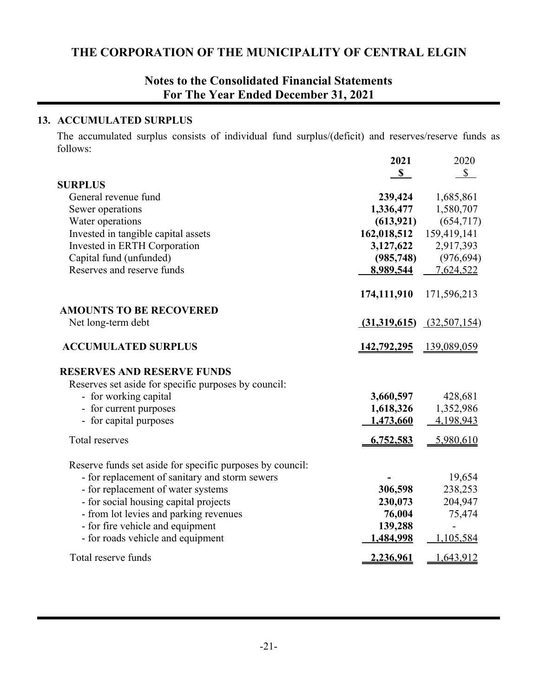# **Notes to the Consolidated Financial Statements For The Year Ended December 31, 2021**

#### **13. ACCUMULATED SURPLUS**

The accumulated surplus consists of individual fund surplus/(deficit) and reserves/reserve funds as follows:

|                                                           | 2021                          | 2020         |
|-----------------------------------------------------------|-------------------------------|--------------|
|                                                           | $\mathbf S$                   | $\mathbb{S}$ |
| <b>SURPLUS</b>                                            |                               |              |
| General revenue fund                                      | 239,424                       | 1,685,861    |
| Sewer operations                                          | 1,336,477                     | 1,580,707    |
| Water operations                                          | (613, 921)                    | (654, 717)   |
| Invested in tangible capital assets                       | 162,018,512                   | 159,419,141  |
| Invested in ERTH Corporation                              | 3,127,622                     | 2,917,393    |
| Capital fund (unfunded)                                   | (985, 748)                    | (976, 694)   |
| Reserves and reserve funds                                | 8,989,544                     | 7,624,522    |
|                                                           | 174,111,910                   | 171,596,213  |
| <b>AMOUNTS TO BE RECOVERED</b>                            |                               |              |
| Net long-term debt                                        | $(31,319,615)$ $(32,507,154)$ |              |
| <b>ACCUMULATED SURPLUS</b>                                | <u>142,792,295</u>            | 139,089,059  |
| <b>RESERVES AND RESERVE FUNDS</b>                         |                               |              |
| Reserves set aside for specific purposes by council:      |                               |              |
| - for working capital                                     | 3,660,597                     | 428,681      |
| - for current purposes                                    | 1,618,326                     | 1,352,986    |
| - for capital purposes                                    | 1,473,660                     | 4,198,943    |
| Total reserves                                            | 6,752,583                     | 5,980,610    |
| Reserve funds set aside for specific purposes by council: |                               |              |
| - for replacement of sanitary and storm sewers            |                               | 19,654       |
| - for replacement of water systems                        | 306,598                       | 238,253      |
| - for social housing capital projects                     | 230,073                       | 204,947      |
| - from lot levies and parking revenues                    | 76,004                        | 75,474       |
| - for fire vehicle and equipment                          | 139,288                       |              |
| - for roads vehicle and equipment                         | 1,484,998                     | 1,105,584    |
| Total reserve funds                                       | 2,236,961                     | 1,643,912    |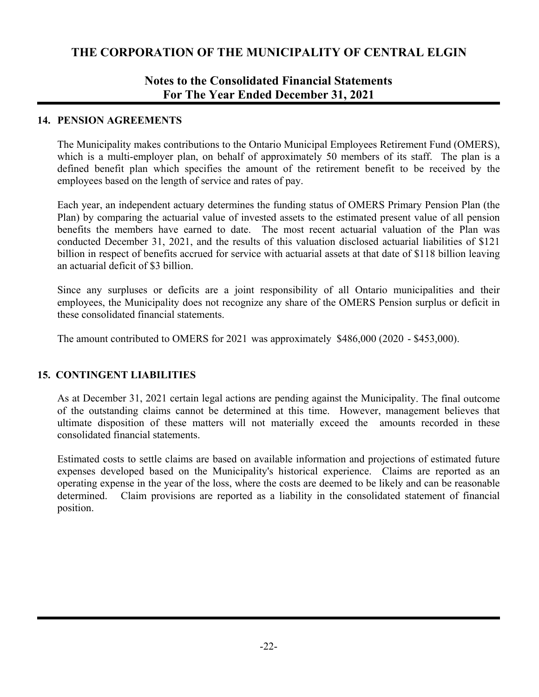### **Notes to the Consolidated Financial Statements For The Year Ended December 31, 2021**

#### **14. PENSION AGREEMENTS**

The Municipality makes contributions to the Ontario Municipal Employees Retirement Fund (OMERS), which is a multi-employer plan, on behalf of approximately 50 members of its staff. The plan is a defined benefit plan which specifies the amount of the retirement benefit to be received by the employees based on the length of service and rates of pay.

Each year, an independent actuary determines the funding status of OMERS Primary Pension Plan (the Plan) by comparing the actuarial value of invested assets to the estimated present value of all pension benefits the members have earned to date. The most recent actuarial valuation of the Plan was conducted December 31, 2021, and the results of this valuation disclosed actuarial liabilities of \$121 billion in respect of benefits accrued for service with actuarial assets at that date of \$118 billion leaving an actuarial deficit of \$3 billion.

Since any surpluses or deficits are a joint responsibility of all Ontario municipalities and their employees, the Municipality does not recognize any share of the OMERS Pension surplus or deficit in these consolidated financial statements.

The amount contributed to OMERS for 2021 was approximately \$486,000 (2020 - \$453,000).

#### **15. CONTINGENT LIABILITIES**

As at December 31, 2021 certain legal actions are pending against the Municipality. The final outcome of the outstanding claims cannot be determined at this time. However, management believes that ultimate disposition of these matters will not materially exceed the amounts recorded in these consolidated financial statements.

Estimated costs to settle claims are based on available information and projections of estimated future expenses developed based on the Municipality's historical experience. Claims are reported as an operating expense in the year of the loss, where the costs are deemed to be likely and can be reasonable determined. Claim provisions are reported as a liability in the consolidated statement of financial position.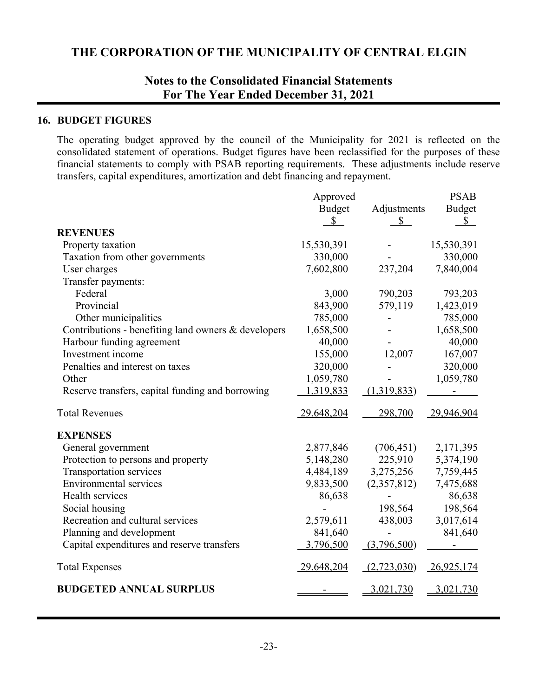## **Notes to the Consolidated Financial Statements For The Year Ended December 31, 2021**

#### **16. BUDGET FIGURES**

The operating budget approved by the council of the Municipality for 2021 is reflected on the consolidated statement of operations. Budget figures have been reclassified for the purposes of these financial statements to comply with PSAB reporting requirements. These adjustments include reserve transfers, capital expenditures, amortization and debt financing and repayment.

| Approved      |              | <b>PSAB</b>    |
|---------------|--------------|----------------|
| <b>Budget</b> | Adjustments  | <b>Budget</b>  |
| \$            | $\mathbb{S}$ | $\mathbb{S}^-$ |
|               |              |                |
| 15,530,391    |              | 15,530,391     |
| 330,000       |              | 330,000        |
| 7,602,800     | 237,204      | 7,840,004      |
|               |              |                |
| 3,000         | 790,203      | 793,203        |
| 843,900       | 579,119      | 1,423,019      |
| 785,000       |              | 785,000        |
| 1,658,500     |              | 1,658,500      |
| 40,000        |              | 40,000         |
| 155,000       | 12,007       | 167,007        |
| 320,000       |              | 320,000        |
| 1,059,780     |              | 1,059,780      |
| 1,319,833     | (1,319,833)  |                |
| 29,648,204    | 298,700      | 29,946,904     |
|               |              |                |
| 2,877,846     | (706, 451)   | 2,171,395      |
| 5,148,280     | 225,910      | 5,374,190      |
| 4,484,189     | 3,275,256    | 7,759,445      |
| 9,833,500     | (2,357,812)  | 7,475,688      |
| 86,638        |              | 86,638         |
|               | 198,564      | 198,564        |
| 2,579,611     | 438,003      | 3,017,614      |
| 841,640       |              | 841,640        |
| 3,796,500     | (3,796,500)  |                |
| 29,648,204    | (2,723,030)  | 26,925,174     |
|               |              | 3,021,730      |
|               |              | 3,021,730      |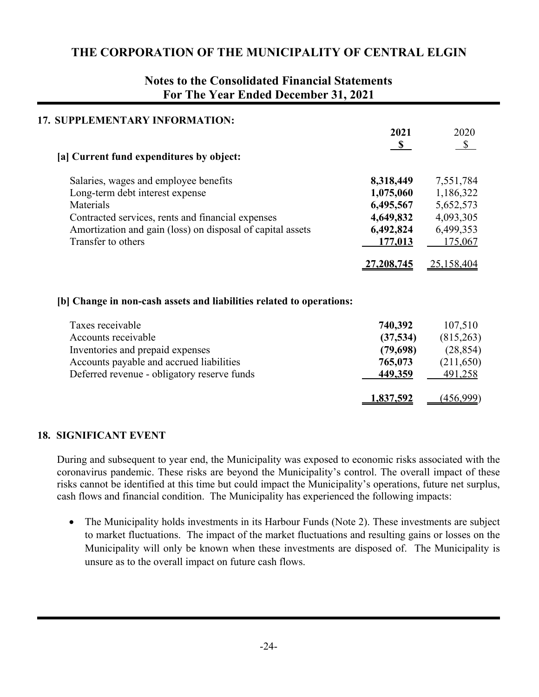### **Notes to the Consolidated Financial Statements For The Year Ended December 31, 2021**

### **17. SUPPLEMENTARY INFORMATION:**

|                                                                      | 2021              | 2020              |
|----------------------------------------------------------------------|-------------------|-------------------|
|                                                                      | $\mathbb{S}$      |                   |
| [a] Current fund expenditures by object:                             |                   |                   |
| Salaries, wages and employee benefits                                | 8,318,449         | 7,551,784         |
| Long-term debt interest expense                                      | 1,075,060         | 1,186,322         |
| Materials                                                            | 6,495,567         | 5,652,573         |
| Contracted services, rents and financial expenses                    | 4,649,832         | 4,093,305         |
| Amortization and gain (loss) on disposal of capital assets           | 6,492,824         | 6,499,353         |
| Transfer to others                                                   | 177,013           | 175,067           |
|                                                                      | <u>27,208,745</u> | <u>25,158,404</u> |
| [b] Change in non-cash assets and liabilities related to operations: |                   |                   |
| Taxes receivable                                                     | 740,392           | 107,510           |
| Accounts receivable                                                  | (37,534)          | (815,263)         |
| Inventories and prepaid expenses                                     | (79, 698)         | (28, 854)         |
| Accounts payable and accrued liabilities                             | 765,073           | (211,650)         |
| Deferred revenue - obligatory reserve funds                          | 449,359           | 491,258           |
|                                                                      |                   |                   |
|                                                                      | 1,837,592         | (456,999)         |

#### **18. SIGNIFICANT EVENT**

During and subsequent to year end, the Municipality was exposed to economic risks associated with the coronavirus pandemic. These risks are beyond the Municipality's control. The overall impact of these risks cannot be identified at this time but could impact the Municipality's operations, future net surplus, cash flows and financial condition. The Municipality has experienced the following impacts:

 The Municipality holds investments in its Harbour Funds (Note 2). These investments are subject to market fluctuations. The impact of the market fluctuations and resulting gains or losses on the Municipality will only be known when these investments are disposed of. The Municipality is unsure as to the overall impact on future cash flows.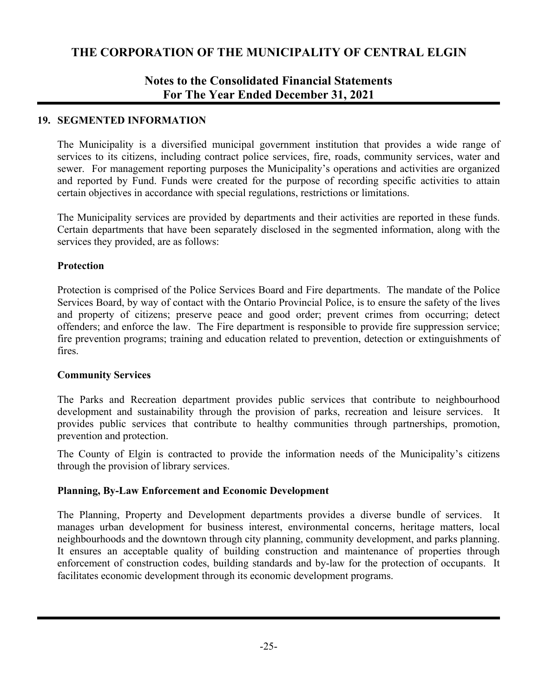### **Notes to the Consolidated Financial Statements For The Year Ended December 31, 2021**

### **19. SEGMENTED INFORMATION**

The Municipality is a diversified municipal government institution that provides a wide range of services to its citizens, including contract police services, fire, roads, community services, water and sewer. For management reporting purposes the Municipality's operations and activities are organized and reported by Fund. Funds were created for the purpose of recording specific activities to attain certain objectives in accordance with special regulations, restrictions or limitations.

The Municipality services are provided by departments and their activities are reported in these funds. Certain departments that have been separately disclosed in the segmented information, along with the services they provided, are as follows:

#### **Protection**

Protection is comprised of the Police Services Board and Fire departments. The mandate of the Police Services Board, by way of contact with the Ontario Provincial Police, is to ensure the safety of the lives and property of citizens; preserve peace and good order; prevent crimes from occurring; detect offenders; and enforce the law. The Fire department is responsible to provide fire suppression service; fire prevention programs; training and education related to prevention, detection or extinguishments of fires.

#### **Community Services**

The Parks and Recreation department provides public services that contribute to neighbourhood development and sustainability through the provision of parks, recreation and leisure services. It provides public services that contribute to healthy communities through partnerships, promotion, prevention and protection.

The County of Elgin is contracted to provide the information needs of the Municipality's citizens through the provision of library services.

#### **Planning, By-Law Enforcement and Economic Development**

The Planning, Property and Development departments provides a diverse bundle of services. It manages urban development for business interest, environmental concerns, heritage matters, local neighbourhoods and the downtown through city planning, community development, and parks planning. It ensures an acceptable quality of building construction and maintenance of properties through enforcement of construction codes, building standards and by-law for the protection of occupants. It facilitates economic development through its economic development programs.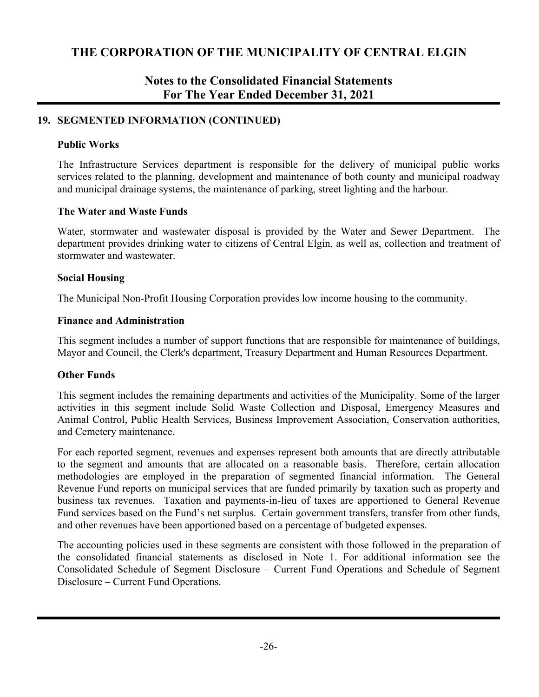### **Notes to the Consolidated Financial Statements For The Year Ended December 31, 2021**

### **19. SEGMENTED INFORMATION (CONTINUED)**

#### **Public Works**

The Infrastructure Services department is responsible for the delivery of municipal public works services related to the planning, development and maintenance of both county and municipal roadway and municipal drainage systems, the maintenance of parking, street lighting and the harbour.

#### **The Water and Waste Funds**

Water, stormwater and wastewater disposal is provided by the Water and Sewer Department. The department provides drinking water to citizens of Central Elgin, as well as, collection and treatment of stormwater and wastewater.

### **Social Housing**

The Municipal Non-Profit Housing Corporation provides low income housing to the community.

#### **Finance and Administration**

This segment includes a number of support functions that are responsible for maintenance of buildings, Mayor and Council, the Clerk's department, Treasury Department and Human Resources Department.

### **Other Funds**

This segment includes the remaining departments and activities of the Municipality. Some of the larger activities in this segment include Solid Waste Collection and Disposal, Emergency Measures and Animal Control, Public Health Services, Business Improvement Association, Conservation authorities, and Cemetery maintenance.

For each reported segment, revenues and expenses represent both amounts that are directly attributable to the segment and amounts that are allocated on a reasonable basis. Therefore, certain allocation methodologies are employed in the preparation of segmented financial information. The General Revenue Fund reports on municipal services that are funded primarily by taxation such as property and business tax revenues. Taxation and payments-in-lieu of taxes are apportioned to General Revenue Fund services based on the Fund's net surplus. Certain government transfers, transfer from other funds, and other revenues have been apportioned based on a percentage of budgeted expenses.

The accounting policies used in these segments are consistent with those followed in the preparation of the consolidated financial statements as disclosed in Note 1. For additional information see the Consolidated Schedule of Segment Disclosure – Current Fund Operations and Schedule of Segment Disclosure – Current Fund Operations.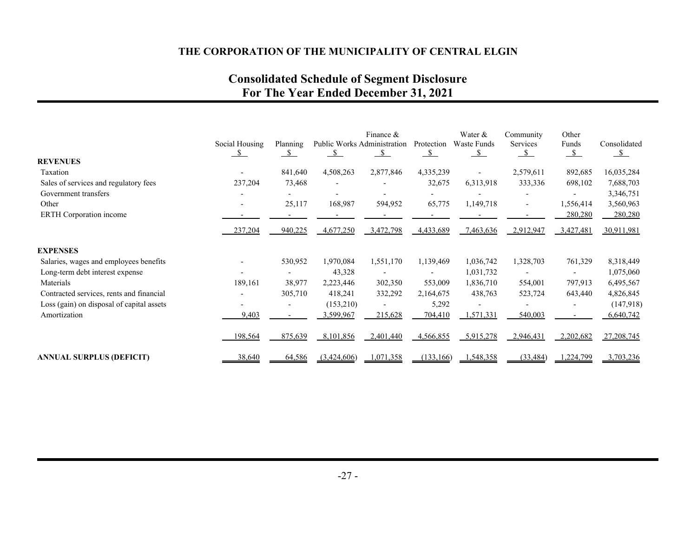# **Consolidated Schedule of Segment Disclosure For The Year Ended December 31, 2021**

|                                           |                       |                                    |                                              | Finance $&$   |                             | Water &              | Community                 | Other                  |                               |
|-------------------------------------------|-----------------------|------------------------------------|----------------------------------------------|---------------|-----------------------------|----------------------|---------------------------|------------------------|-------------------------------|
|                                           | Social Housing<br>- S | Planning<br>$\mathbf{\mathcal{L}}$ | Public Works Administration<br>$\mathcal{S}$ | $\mathcal{S}$ | Protection<br>$\mathcal{S}$ | Waste Funds<br>$\_s$ | Services<br>$\mathcal{S}$ | Funds<br>$\mathcal{S}$ | Consolidated<br>$\mathcal{S}$ |
| <b>REVENUES</b>                           |                       |                                    |                                              |               |                             |                      |                           |                        |                               |
| Taxation                                  |                       | 841,640                            | 4,508,263                                    | 2,877,846     | 4,335,239                   |                      | 2,579,611                 | 892,685                | 16,035,284                    |
| Sales of services and regulatory fees     | 237,204               | 73,468                             |                                              |               | 32,675                      | 6,313,918            | 333,336                   | 698,102                | 7,688,703                     |
| Government transfers                      |                       |                                    |                                              |               |                             |                      |                           |                        | 3,346,751                     |
| Other                                     |                       | 25,117                             | 168,987                                      | 594,952       | 65,775                      | 1,149,718            | $\overline{\phantom{a}}$  | 1,556,414              | 3,560,963                     |
| <b>ERTH Corporation income</b>            |                       |                                    |                                              |               |                             |                      |                           | 280,280                | 280,280                       |
|                                           | 237,204               | 940,225                            | 4,677,250                                    | 3,472,798     | 4,433,689                   | 7,463,636            | 2,912,947                 | 3,427,481              | 30,911,981                    |
| <b>EXPENSES</b>                           |                       |                                    |                                              |               |                             |                      |                           |                        |                               |
| Salaries, wages and employees benefits    |                       | 530,952                            | 1,970,084                                    | 1,551,170     | 1,139,469                   | 1,036,742            | 1,328,703                 | 761,329                | 8,318,449                     |
| Long-term debt interest expense           |                       |                                    | 43,328                                       |               |                             | 1,031,732            |                           |                        | 1,075,060                     |
| Materials                                 | 189,161               | 38,977                             | 2,223,446                                    | 302,350       | 553,009                     | 1,836,710            | 554,001                   | 797,913                | 6,495,567                     |
| Contracted services, rents and financial  |                       | 305,710                            | 418,241                                      | 332,292       | 2,164,675                   | 438,763              | 523,724                   | 643,440                | 4,826,845                     |
| Loss (gain) on disposal of capital assets |                       |                                    | (153,210)                                    |               | 5,292                       |                      |                           |                        | (147,918)                     |
| Amortization                              | 9,403                 |                                    | 3,599,967                                    | 215,628       | 704,410                     | 1,571,331            | 540,003                   |                        | 6,640,742                     |
|                                           | 198,564               | 875,639                            | 8,101,856                                    | 2,401,440     | 4,566,855                   | 5,915,278            | 2,946,431                 | 2,202,682              | 27,208,745                    |
| <b>ANNUAL SURPLUS (DEFICIT)</b>           | 38,640                | 64,586                             | (3,424,606)                                  | 1,071,358     | (133,166)                   | 1,548,358            | (33, 484)                 | 1,224,799              | 3,703,236                     |